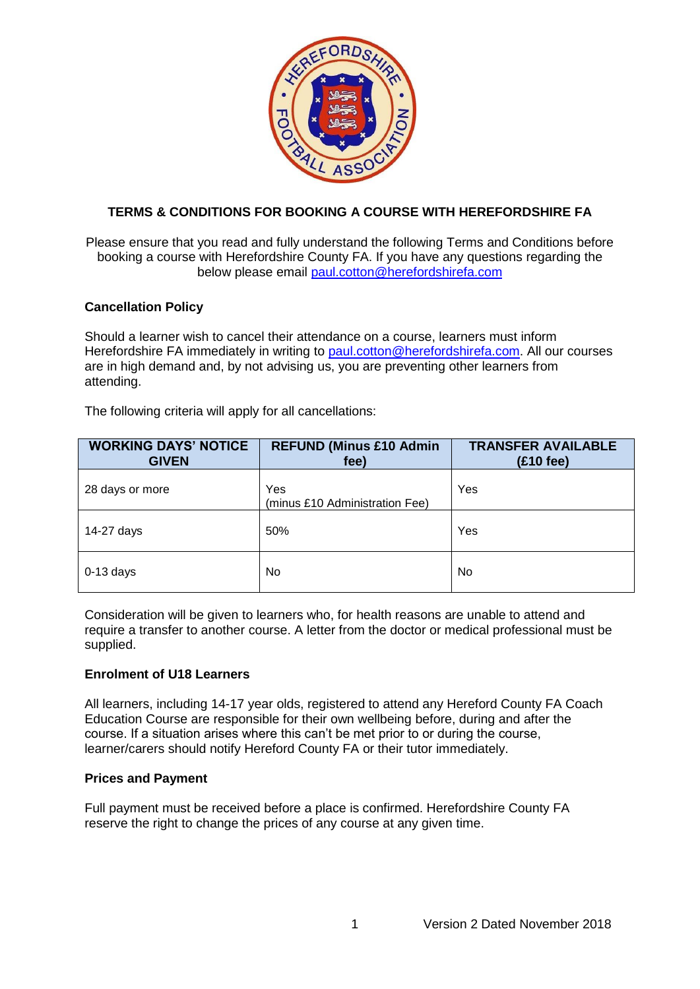

# **TERMS & CONDITIONS FOR BOOKING A COURSE WITH HEREFORDSHIRE FA**

Please ensure that you read and fully understand the following Terms and Conditions before booking a course with Herefordshire County FA. If you have any questions regarding the below please email [paul.cotton@herefordshirefa.com](mailto:paul.cotton@herefordshirefa.com)

## **Cancellation Policy**

Should a learner wish to cancel their attendance on a course, learners must inform Herefordshire FA immediately in writing to [paul.cotton@herefordshirefa.com.](mailto:paul.cotton@herefordshirefa.com) All our courses are in high demand and, by not advising us, you are preventing other learners from attending.

The following criteria will apply for all cancellations:

| <b>WORKING DAYS' NOTICE</b><br><b>GIVEN</b> | <b>REFUND (Minus £10 Admin</b><br>fee) | <b>TRANSFER AVAILABLE</b><br>$(£10$ fee) |
|---------------------------------------------|----------------------------------------|------------------------------------------|
| 28 days or more                             | Yes<br>(minus £10 Administration Fee)  | Yes                                      |
| 14-27 days                                  | 50%                                    | Yes                                      |
| $0-13$ days                                 | No                                     | No                                       |

Consideration will be given to learners who, for health reasons are unable to attend and require a transfer to another course. A letter from the doctor or medical professional must be supplied.

## **Enrolment of U18 Learners**

All learners, including 14-17 year olds, registered to attend any Hereford County FA Coach Education Course are responsible for their own wellbeing before, during and after the course. If a situation arises where this can't be met prior to or during the course, learner/carers should notify Hereford County FA or their tutor immediately.

## **Prices and Payment**

Full payment must be received before a place is confirmed. Herefordshire County FA reserve the right to change the prices of any course at any given time.